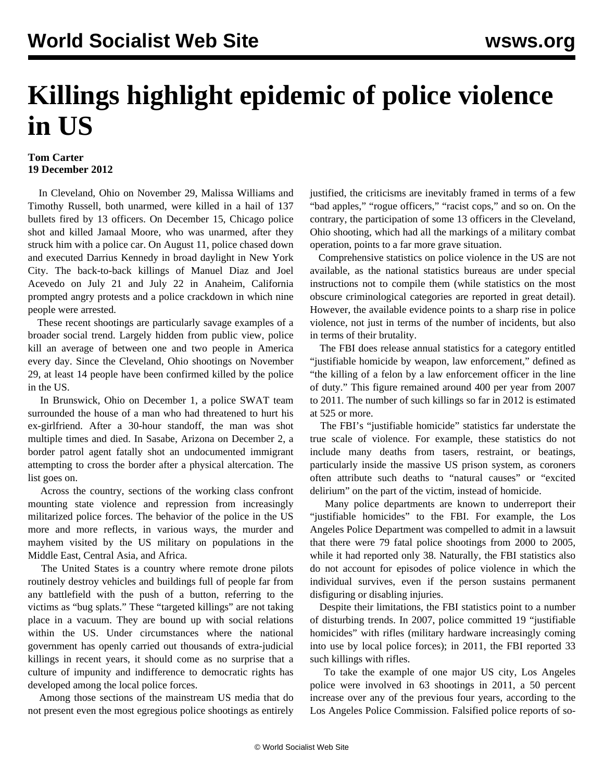## **Killings highlight epidemic of police violence in US**

## **Tom Carter 19 December 2012**

 In Cleveland, Ohio on November 29, Malissa Williams and Timothy Russell, both unarmed, were [killed](/en/articles/2012/12/08/clev-d08.html) in a hail of 137 bullets fired by 13 officers. On December 15, Chicago police [shot](/en/articles/2012/12/17/chic-d17.html) and killed Jamaal Moore, who was unarmed, after they struck him with a police car. On August 11, police chased down and [executed](/en/articles/2012/08/pers-a14.html) Darrius Kennedy in broad daylight in New York City. The back-to-back killings of Manuel Diaz and Joel Acevedo on July 21 and July 22 in Anaheim, California prompted angry protests and a police [crackdown](/en/articles/2012/07/anah-j23.html) in which nine people were arrested.

 These recent shootings are particularly savage examples of a broader social trend. Largely hidden from public view, police kill an average of between one and two people in America every day. Since the Cleveland, Ohio shootings on November 29, at least 14 people have been confirmed killed by the police in the US.

 In Brunswick, Ohio on December 1, a police SWAT team surrounded the house of a man who had threatened to hurt his ex-girlfriend. After a 30-hour standoff, the man was shot multiple times and died. In Sasabe, Arizona on December 2, a border patrol agent fatally shot an undocumented immigrant attempting to cross the border after a physical altercation. The list goes on.

 Across the country, sections of the working class confront mounting state violence and repression from increasingly militarized police forces. The behavior of the police in the US more and more reflects, in various ways, the murder and mayhem visited by the US military on populations in the Middle East, Central Asia, and Africa.

 The United States is a country where remote drone pilots routinely destroy vehicles and buildings full of people far from any battlefield with the push of a button, referring to the victims as "bug splats." These "targeted killings" are not taking place in a vacuum. They are bound up with social relations within the US. Under circumstances where the national government has openly carried out thousands of extra-judicial killings in recent years, it should come as no surprise that a culture of impunity and indifference to democratic rights has developed among the local police forces.

 Among those sections of the mainstream US media that do not present even the most egregious police shootings as entirely justified, the criticisms are inevitably framed in terms of a few "bad apples," "rogue officers," "racist cops," and so on. On the contrary, the participation of some 13 officers in the Cleveland, Ohio shooting, which had all the markings of a military combat operation, points to a far more grave situation.

 Comprehensive statistics on police violence in the US are not available, as the national statistics bureaus are under special instructions not to compile them (while statistics on the most obscure criminological categories are reported in great detail). However, the available evidence points to a sharp rise in police violence, not just in terms of the number of incidents, but also in terms of their brutality.

 The FBI does release annual statistics for a category entitled "justifiable homicide by weapon, law enforcement," defined as "the killing of a felon by a law enforcement officer in the line of duty." This figure remained around 400 per year from 2007 to 2011. The number of such killings so far in 2012 is estimated at 525 or more.

 The FBI's "justifiable homicide" statistics far understate the true scale of violence. For example, these statistics do not include many deaths from tasers, restraint, or beatings, particularly inside the massive US prison system, as coroners often attribute such deaths to "natural causes" or "excited delirium" on the part of the victim, instead of homicide.

 Many police departments are known to underreport their "justifiable homicides" to the FBI. For example, the Los Angeles Police Department was compelled to admit in a lawsuit that there were 79 fatal police shootings from 2000 to 2005, while it had reported only 38. Naturally, the FBI statistics also do not account for episodes of police violence in which the individual survives, even if the person sustains permanent disfiguring or disabling injuries.

 Despite their limitations, the FBI statistics point to a number of disturbing trends. In 2007, police committed 19 "justifiable homicides" with rifles (military hardware increasingly coming into use by local police forces); in 2011, the FBI reported 33 such killings with rifles.

 To take the example of one major US city, Los Angeles police were involved in 63 shootings in 2011, a 50 percent increase over any of the previous four years, according to the Los Angeles Police Commission. Falsified police reports of so